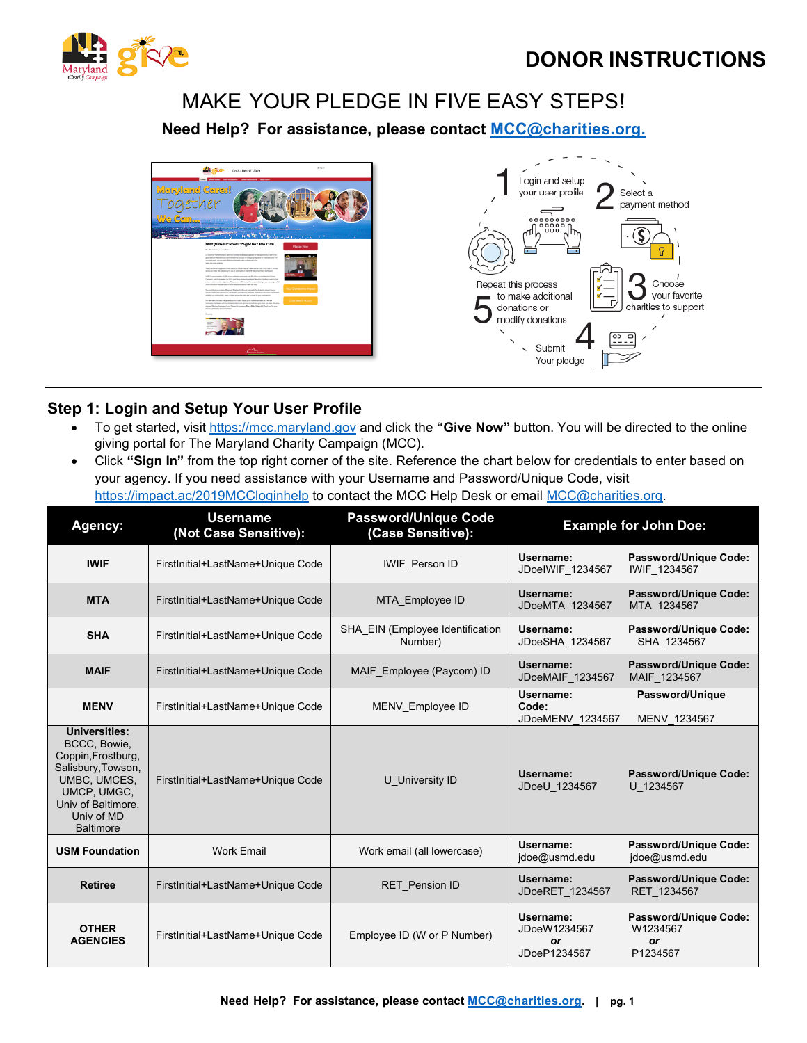



# MAKE YOUR PLEDGE IN FIVE EASY STEPS!

**Need Help? For assistance, please contact [MCC@charities.org.](mailto:MCC@charities.org.)** 





# **Step 1: Login and Setup Your User Profile**

- To get started, visit [https://mcc.maryland.gov](https://mcc.maryland.gov/) and click the **"Give Now"** button. You will be directed to the online giving portal for The Maryland Charity Campaign (MCC).
- Click **"Sign In"** from the top right corner of the site. Reference the chart below for credentials to enter based on your agency. If you need assistance with your Username and Password/Unique Code, visit <https://impact.ac/2019MCCloginhelp> to contact the MCC Help Desk or email [MCC@charities.org.](mailto:MCC@charities.org)

| <b>Agency:</b>                                                                                                                                                   | <b>Username</b><br>(Not Case Sensitive): | <b>Password/Unique Code</b><br>(Case Sensitive): |                                                        | <b>Example for John Doe:</b>                        |
|------------------------------------------------------------------------------------------------------------------------------------------------------------------|------------------------------------------|--------------------------------------------------|--------------------------------------------------------|-----------------------------------------------------|
| <b>IWIF</b>                                                                                                                                                      | FirstInitial+LastName+Unique Code        | <b>IWIF Person ID</b>                            | Username:<br>JDoelWIF 1234567                          | Password/Unique Code:<br>IWIF 1234567               |
| <b>MTA</b>                                                                                                                                                       | FirstInitial+LastName+Unique Code        | MTA Employee ID                                  | Username:<br>JDoeMTA 1234567                           | Password/Unique Code:<br>MTA 1234567                |
| <b>SHA</b>                                                                                                                                                       | FirstInitial+LastName+Unique Code        | SHA EIN (Employee Identification<br>Number)      | Username:<br>JDoeSHA 1234567                           | Password/Unique Code:<br>SHA 1234567                |
| <b>MAIF</b>                                                                                                                                                      | FirstInitial+LastName+Unique Code        | MAIF Employee (Paycom) ID                        | Username:<br>JDoeMAIF 1234567                          | Password/Unique Code:<br>MAIF 1234567               |
| <b>MENV</b>                                                                                                                                                      | FirstInitial+LastName+Unique Code        | MENV_Employee ID                                 | Username:<br>Code:<br>JDoeMENV 1234567                 | Password/Unique<br>MENV 1234567                     |
| Universities:<br>BCCC, Bowie,<br>Coppin, Frostburg,<br>Salisbury, Towson,<br>UMBC, UMCES,<br>UMCP, UMGC,<br>Univ of Baltimore.<br>Univ of MD<br><b>Baltimore</b> | FirstInitial+LastName+Unique Code        | U University ID                                  | Username:<br>JDoeU 1234567                             | <b>Password/Unique Code:</b><br>U 1234567           |
| <b>USM Foundation</b>                                                                                                                                            | <b>Work Email</b>                        | Work email (all lowercase)                       | Username:<br>jdoe@usmd.edu                             | Password/Unique Code:<br>jdoe@usmd.edu              |
| <b>Retiree</b>                                                                                                                                                   | FirstInitial+LastName+Unique Code        | <b>RET</b> Pension ID                            | Username:<br>JDoeRET 1234567                           | Password/Unique Code:<br>RET 1234567                |
| <b>OTHER</b><br><b>AGENCIES</b>                                                                                                                                  | FirstInitial+LastName+Unique Code        | Employee ID (W or P Number)                      | Username:<br>JDoeW1234567<br><b>or</b><br>JDoeP1234567 | Password/Unique Code:<br>W1234567<br>or<br>P1234567 |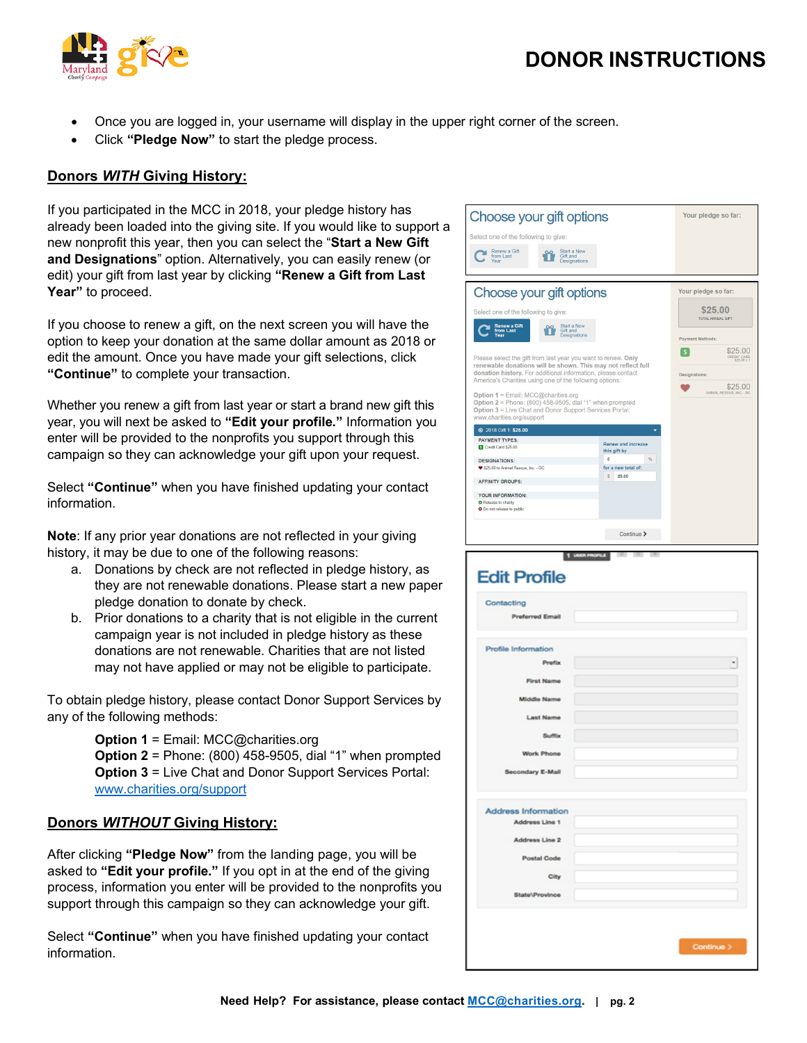# **DONOR INSTRUCTIONS**



- Once you are logged in, your username will display in the upper right corner of the screen.
- Click **"Pledge Now"** to start the pledge process.

#### **Donors** *WITH* **Giving History:**

If you participated in the MCC in 2018, your pledge history has already been loaded into the giving site. If you would like to support a new nonprofit this year, then you can select the "**Start a New Gift and Designations**" option. Alternatively, you can easily renew (or edit) your gift from last year by clicking **"Renew a Gift from Last Year"** to proceed.

If you choose to renew a gift, on the next screen you will have the option to keep your donation at the same dollar amount as 2018 or edit the amount. Once you have made your gift selections, click **"Continue"** to complete your transaction.

Whether you renew a gift from last year or start a brand new gift this year, you will next be asked to **"Edit your profile."** Information you enter will be provided to the nonprofits you support through this campaign so they can acknowledge your gift upon your request.

Select **"Continue"** when you have finished updating your contact information.

**Note**: If any prior year donations are not reflected in your giving history, it may be due to one of the following reasons:

- a. Donations by check are not reflected in pledge history, as they are not renewable donations. Please start a new paper pledge donation to donate by check.
- b. Prior donations to a charity that is not eligible in the current campaign year is not included in pledge history as these donations are not renewable. Charities that are not listed may not have applied or may not be eligible to participate.

To obtain pledge history, please contact Donor Support Services by any of the following methods:

**Option 1** = Email: MCC@charities.org

**Option 2** = Phone: (800) 458-9505, dial "1" when prompted **Option 3** = Live Chat and Donor Support Services Portal: [www.charities.org/support](http://www.charities.org/support)

#### **Donors** *WITHOUT* **Giving History:**

After clicking **"Pledge Now"** from the landing page, you will be asked to **"Edit your profile."** If you opt in at the end of the giving process, information you enter will be provided to the nonprofits you support through this campaign so they can acknowledge your gift.

Select **"Continue"** when you have finished updating your contact information.

| Choose your gift options                                                                                                                                                                                                                                 | Your pledge so far:                                                                          |                                     |  |  |  |  |
|----------------------------------------------------------------------------------------------------------------------------------------------------------------------------------------------------------------------------------------------------------|----------------------------------------------------------------------------------------------|-------------------------------------|--|--|--|--|
| Select one of the following to give:                                                                                                                                                                                                                     |                                                                                              |                                     |  |  |  |  |
| Renew a Gift<br>Start a New<br>from Last<br>Gift and<br>Designations<br>Year                                                                                                                                                                             |                                                                                              |                                     |  |  |  |  |
| Choose your gift options                                                                                                                                                                                                                                 | Your pledge so far:                                                                          |                                     |  |  |  |  |
| Select one of the following to give:<br><b>Renew a Gift</b><br>Start a New<br>from Last<br>Gift and<br>/aar<br>Designations                                                                                                                              |                                                                                              | \$25.00<br><b>TOTAL ANNUAL GIFT</b> |  |  |  |  |
| Please select the gift from last year you want to renew. Only<br>renewable donations will be shown. This may not reflect full<br>donation history. For additional information, please contact<br>America's Charities using one of the following options: | Payment Methods:<br>\$25.00<br>\$.<br>CREDIT CARD<br>\$25.00 x 1<br>Designations:<br>\$25.00 |                                     |  |  |  |  |
| ANIMAL RESCUE, INC. - DC.<br>Option 1 = Email: MCC@charities.org<br>Option $2$ = Phone: (800) 458-9505, dial "1" when prompted<br>Option 3 = Live Chat and Donor Support Services Portal:<br>www.charities.org/support<br>2018 Gift 1: \$25,00           |                                                                                              |                                     |  |  |  |  |
| <b>PAYMENT TYPES:</b>                                                                                                                                                                                                                                    |                                                                                              |                                     |  |  |  |  |
| Credit Card \$25.00                                                                                                                                                                                                                                      | <b>Renew and increase</b><br>this gift by                                                    |                                     |  |  |  |  |
| <b>DESIGNATIONS:</b>                                                                                                                                                                                                                                     | $\theta$<br>%                                                                                |                                     |  |  |  |  |
| ♥ \$25.00 to Animal Rescue, Inc. - DC                                                                                                                                                                                                                    | for a new total of:                                                                          |                                     |  |  |  |  |
| <b>AFFINITY GROUPS:</b>                                                                                                                                                                                                                                  | s.<br>25.00                                                                                  |                                     |  |  |  |  |
| YOUR INFORMATION:<br>Release to charity<br>O Do not release to public                                                                                                                                                                                    |                                                                                              |                                     |  |  |  |  |
|                                                                                                                                                                                                                                                          | Continue >                                                                                   |                                     |  |  |  |  |

| Contacting<br><b>Preferred Email</b> |  |   |
|--------------------------------------|--|---|
| Profile Information                  |  |   |
| <b>Prefix</b>                        |  | ٠ |
| <b>First Name</b>                    |  |   |
| <b>Middle Name</b>                   |  |   |
| <b>Last Name</b>                     |  |   |
| <b>Suffix</b>                        |  |   |
| <b>Work Phone</b>                    |  |   |
| <b>Secondary E-Mail</b>              |  |   |
| <b>Address Information</b>           |  |   |
| <b>Address Line 1</b>                |  |   |
| <b>Address Line 2</b>                |  |   |
| <b>Postal Code</b>                   |  |   |
| City                                 |  |   |
| State\Province                       |  |   |
|                                      |  |   |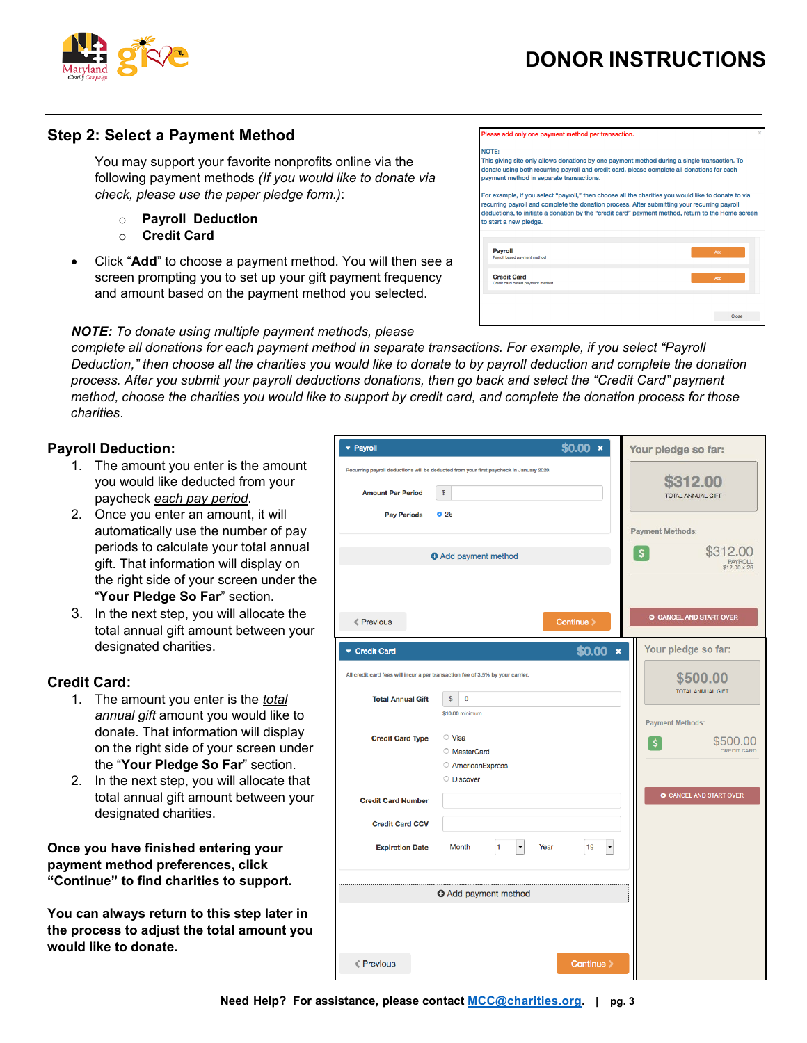



### **Step 2: Select a Payment Method**

You may support your favorite nonprofits online via the following payment methods *(If you would like to donate via check, please use the paper pledge form.)*:

- o **Payroll Deduction**
- o **Credit Card**
- Click "**Add**" to choose a payment method. You will then see a screen prompting you to set up your gift payment frequency and amount based on the payment method you selected.

lease add only one payment method per transaction.

payment method in separate transactions.

NOTE: This giving site only allows donations by one payment method during a single transaction. To donate using both recurring payroll and credit card, please complete all donations for each

For example, if you select "payroll," then choose all the charities you would like to donate to via .<br>recurring payroll and complete the donation process. After submitting your recurring payroll<br>deductions, to initiate a donation by the "credit card" payment method, return to the Home scree to start a new pledge

| <b>Payroll</b><br>Payroll based payment method         | Add   |
|--------------------------------------------------------|-------|
| <b>Credit Card</b><br>Credit card based payment method | Add   |
|                                                        |       |
|                                                        | Close |

#### *NOTE: To donate using multiple payment methods, please*

*complete all donations for each payment method in separate transactions. For example, if you select "Payroll*  Deduction," then choose all the charities you would like to donate to by payroll deduction and complete the donation *process. After you submit your payroll deductions donations, then go back and select the "Credit Card" payment* method, choose the charities you would like to support by credit card, and complete the donation process for those *charities*.

#### **Payroll Deduction:**

- 1. The amount you enter is the amount you would like deducted from your paycheck *each pay period*.
- 2. Once you enter an amount, it will automatically use the number of pay periods to calculate your total annual gift. That information will display on the right side of your screen under the "**Your Pledge So Far**" section.
- 3. In the next step, you will allocate the total annual gift amount between your designated charities.

#### **Credit Card:**

- 1. The amount you enter is the *total annual gift* amount you would like to donate. That information will display on the right side of your screen under the "**Your Pledge So Far**" section.
- 2. In the next step, you will allocate that total annual gift amount between your designated charities.

**Once you have finished entering your payment method preferences, click "Continue" to find charities to support.** 

**You can always return to this step later in the process to adjust the total amount you would like to donate.**

| - Payroll                                      | $$0.00 \times$                                                                                       | Your pledge so far:                                                             |
|------------------------------------------------|------------------------------------------------------------------------------------------------------|---------------------------------------------------------------------------------|
| <b>Amount Per Period</b><br><b>Pay Periods</b> | Recurring payroll deductions will be deducted from your first paycheck in January 2020.<br>\$<br>Q26 | \$312.00<br><b>TOTAL ANNUAL GIFT</b>                                            |
|                                                |                                                                                                      | <b>Payment Methods:</b>                                                         |
|                                                | <b>O</b> Add payment method                                                                          | \$312.00<br>\$<br><b>PAYROLL</b><br>\$12,00 x 26                                |
| <b>≮ Previous</b>                              | Continue >                                                                                           | <b>C CANCEL AND START OVER</b>                                                  |
| Credit Card                                    |                                                                                                      | Your pledge so far:<br>$$0.00 \times$                                           |
|                                                | All credit card fees will incur a per transaction fee of 3.5% by your carrier.                       | \$500.00<br><b>TOTAL ANNUAL GIFT</b>                                            |
| <b>Total Annual Gift</b>                       | \$<br>0                                                                                              |                                                                                 |
| <b>Credit Card Type</b>                        | \$10,00 minimum<br>◯ Visa<br><b>MasterCard</b><br><b>AmericanExpress</b><br>O Discover               | <b>Payment Methods:</b><br>\$500.00<br>$\boldsymbol{\xi}$<br><b>CREDIT CARD</b> |
| <b>Credit Card Number</b>                      |                                                                                                      | C CANCEL AND START OVER                                                         |
| <b>Credit Card CCV</b>                         |                                                                                                      |                                                                                 |
| <b>Expiration Date</b>                         | $\ddot{\phantom{0}}$<br>Month<br>1<br>Year                                                           | 19                                                                              |
|                                                | <b>O</b> Add payment method                                                                          |                                                                                 |
|                                                |                                                                                                      |                                                                                 |
| $\langle$ Previous                             |                                                                                                      | Continue >                                                                      |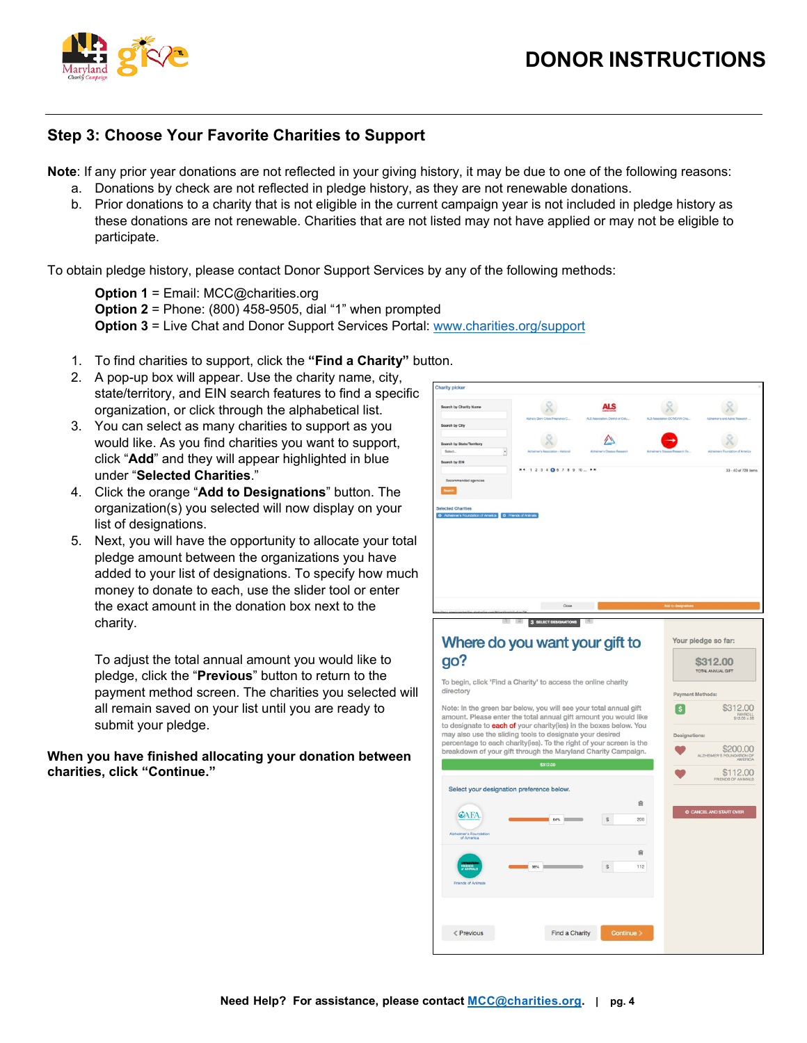

# **Step 3: Choose Your Favorite Charities to Support**

**Note**: If any prior year donations are not reflected in your giving history, it may be due to one of the following reasons:

- a. Donations by check are not reflected in pledge history, as they are not renewable donations.
- b. Prior donations to a charity that is not eligible in the current campaign year is not included in pledge history as these donations are not renewable. Charities that are not listed may not have applied or may not be eligible to participate.

To obtain pledge history, please contact Donor Support Services by any of the following methods:

**Option 1** = Email: MCC@charities.org **Option 2** = Phone: (800) 458-9505, dial "1" when prompted **Option 3** = Live Chat and Donor Support Services Portal: [www.charities.org/support](http://www.charities.org/support)

- 1. To find charities to support, click the **"Find a Charity"** button.
- 2. A pop-up box will appear. Use the charity name, city, state/territory, and EIN search features to find a specific organization, or click through the alphabetical list.
- 3. You can select as many charities to support as you would like. As you find charities you want to support, click "**Add**" and they will appear highlighted in blue under "**Selected Charities**."
- 4. Click the orange "**Add to Designations**" button. The organization(s) you selected will now display on your list of designations.
- 5. Next, you will have the opportunity to allocate your total pledge amount between the organizations you have added to your list of designations. To specify how much money to donate to each, use the slider tool or enter the exact amount in the donation box next to the charity.

To adjust the total annual amount you would like to pledge, click the "**Previous**" button to return to the payment method screen. The charities you selected will all remain saved on your list until you are ready to submit your pledge.

#### **When you have finished allocating your donation between charities, click "Continue."**